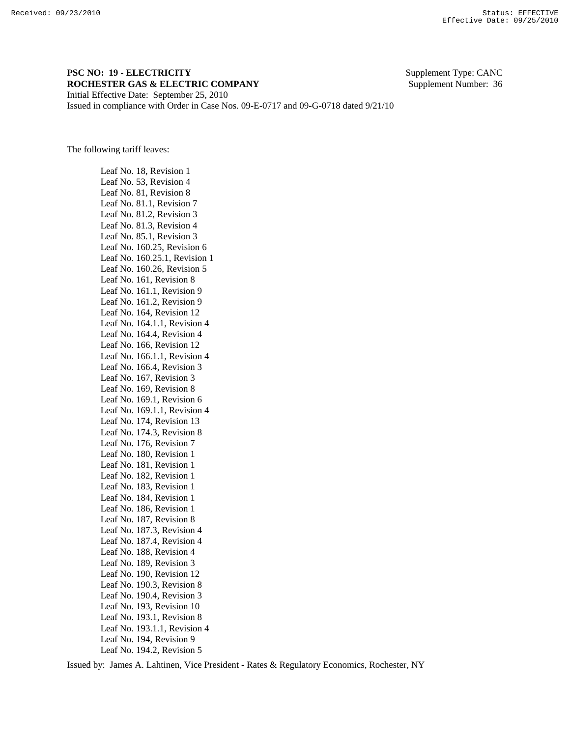## **PSC NO: 19 - ELECTRICITY** Supplement Type: CANC **ROCHESTER GAS & ELECTRIC COMPANY** Supplement Number: 36 Initial Effective Date: September 25, 2010

Issued in compliance with Order in Case Nos. 09-E-0717 and 09-G-0718 dated 9/21/10

The following tariff leaves:

 Leaf No. 18, Revision 1 Leaf No. 53, Revision 4 Leaf No. 81, Revision 8 Leaf No. 81.1, Revision 7 Leaf No. 81.2, Revision 3 Leaf No. 81.3, Revision 4 Leaf No. 85.1, Revision 3 Leaf No. 160.25, Revision 6 Leaf No. 160.25.1, Revision 1 Leaf No. 160.26, Revision 5 Leaf No. 161, Revision 8 Leaf No. 161.1, Revision 9 Leaf No. 161.2, Revision 9 Leaf No. 164, Revision 12 Leaf No. 164.1.1, Revision 4 Leaf No. 164.4, Revision 4 Leaf No. 166, Revision 12 Leaf No. 166.1.1, Revision 4 Leaf No. 166.4, Revision 3 Leaf No. 167, Revision 3 Leaf No. 169, Revision 8 Leaf No. 169.1, Revision 6 Leaf No. 169.1.1, Revision 4 Leaf No. 174, Revision 13 Leaf No. 174.3, Revision 8 Leaf No. 176, Revision 7 Leaf No. 180, Revision 1 Leaf No. 181, Revision 1 Leaf No. 182, Revision 1 Leaf No. 183, Revision 1 Leaf No. 184, Revision 1 Leaf No. 186, Revision 1 Leaf No. 187, Revision 8 Leaf No. 187.3, Revision 4 Leaf No. 187.4, Revision 4 Leaf No. 188, Revision 4 Leaf No. 189, Revision 3 Leaf No. 190, Revision 12 Leaf No. 190.3, Revision 8 Leaf No. 190.4, Revision 3 Leaf No. 193, Revision 10 Leaf No. 193.1, Revision 8 Leaf No. 193.1.1, Revision 4 Leaf No. 194, Revision 9 Leaf No. 194.2, Revision 5

Issued by: James A. Lahtinen, Vice President - Rates & Regulatory Economics, Rochester, NY